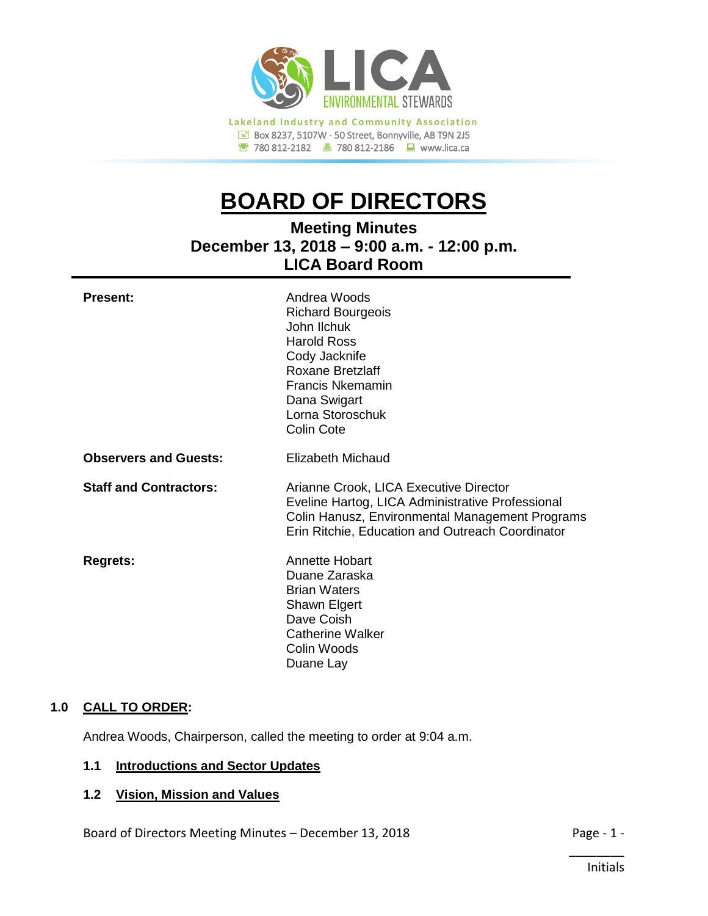

# **BOARD OF DIRECTORS**

**Meeting Minutes December 13, 2018 – 9:00 a.m. - 12:00 p.m. LICA Board Room**

| <b>Present:</b>               | Andrea Woods<br><b>Richard Bourgeois</b><br>John Ilchuk<br><b>Harold Ross</b><br>Cody Jacknife<br>Roxane Bretzlaff<br><b>Francis Nkemamin</b><br>Dana Swigart<br>Lorna Storoschuk<br><b>Colin Cote</b> |
|-------------------------------|--------------------------------------------------------------------------------------------------------------------------------------------------------------------------------------------------------|
| <b>Observers and Guests:</b>  | Elizabeth Michaud                                                                                                                                                                                      |
| <b>Staff and Contractors:</b> | Arianne Crook, LICA Executive Director<br>Eveline Hartog, LICA Administrative Professional<br>Colin Hanusz, Environmental Management Programs<br>Erin Ritchie, Education and Outreach Coordinator      |
| <b>Regrets:</b>               | Annette Hobart<br>Duane Zaraska<br><b>Brian Waters</b><br>Shawn Elgert<br>Dave Coish<br><b>Catherine Walker</b><br>Colin Woods<br>Duane Lay                                                            |

# **1.0 CALL TO ORDER:**

Andrea Woods, Chairperson, called the meeting to order at 9:04 a.m.

# **1.1 Introductions and Sector Updates**

# **1.2 Vision, Mission and Values**

Board of Directors Meeting Minutes – December 13, 2018 Page - 1 -

\_\_\_\_\_\_\_\_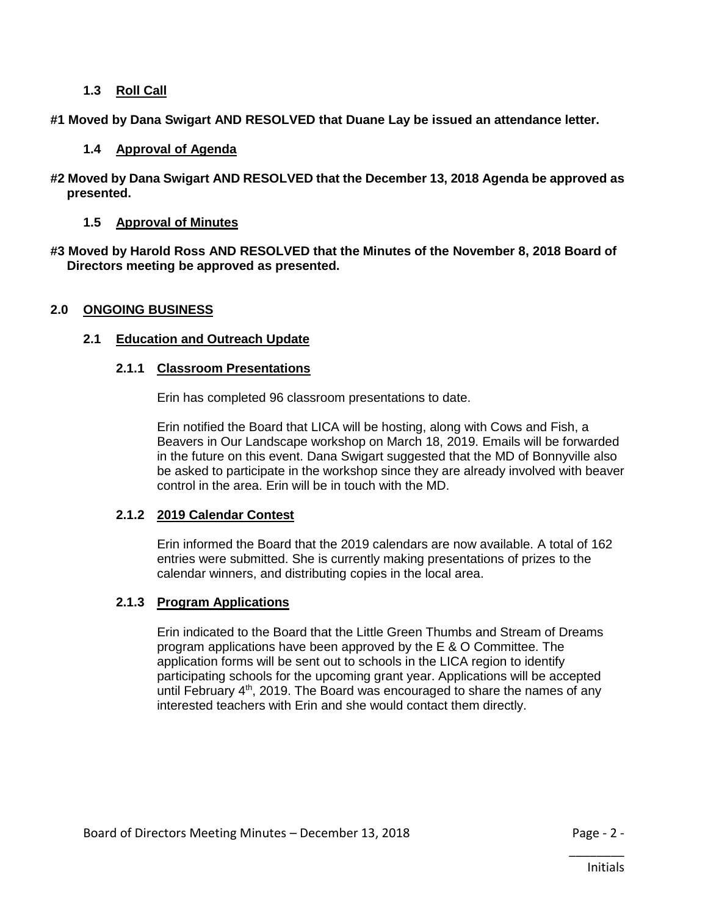# **1.3 Roll Call**

**#1 Moved by Dana Swigart AND RESOLVED that Duane Lay be issued an attendance letter.**

# **1.4 Approval of Agenda**

**#2 Moved by Dana Swigart AND RESOLVED that the December 13, 2018 Agenda be approved as presented.**

# **1.5 Approval of Minutes**

**#3 Moved by Harold Ross AND RESOLVED that the Minutes of the November 8, 2018 Board of Directors meeting be approved as presented.**

# **2.0 ONGOING BUSINESS**

# **2.1 Education and Outreach Update**

# **2.1.1 Classroom Presentations**

Erin has completed 96 classroom presentations to date.

Erin notified the Board that LICA will be hosting, along with Cows and Fish, a Beavers in Our Landscape workshop on March 18, 2019. Emails will be forwarded in the future on this event. Dana Swigart suggested that the MD of Bonnyville also be asked to participate in the workshop since they are already involved with beaver control in the area. Erin will be in touch with the MD.

# **2.1.2 2019 Calendar Contest**

Erin informed the Board that the 2019 calendars are now available. A total of 162 entries were submitted. She is currently making presentations of prizes to the calendar winners, and distributing copies in the local area.

# **2.1.3 Program Applications**

Erin indicated to the Board that the Little Green Thumbs and Stream of Dreams program applications have been approved by the E & O Committee. The application forms will be sent out to schools in the LICA region to identify participating schools for the upcoming grant year. Applications will be accepted until February  $4<sup>th</sup>$ , 2019. The Board was encouraged to share the names of any interested teachers with Erin and she would contact them directly.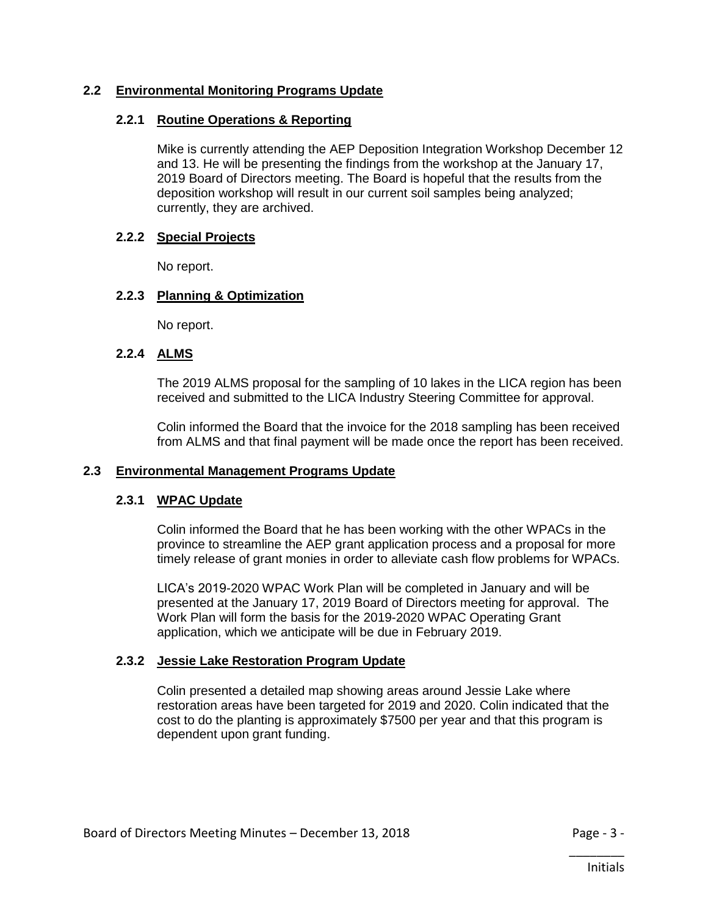# **2.2 Environmental Monitoring Programs Update**

# **2.2.1 Routine Operations & Reporting**

Mike is currently attending the AEP Deposition Integration Workshop December 12 and 13. He will be presenting the findings from the workshop at the January 17, 2019 Board of Directors meeting. The Board is hopeful that the results from the deposition workshop will result in our current soil samples being analyzed; currently, they are archived.

# **2.2.2 Special Projects**

No report.

# **2.2.3 Planning & Optimization**

No report.

# **2.2.4 ALMS**

The 2019 ALMS proposal for the sampling of 10 lakes in the LICA region has been received and submitted to the LICA Industry Steering Committee for approval.

Colin informed the Board that the invoice for the 2018 sampling has been received from ALMS and that final payment will be made once the report has been received.

# **2.3 Environmental Management Programs Update**

# **2.3.1 WPAC Update**

Colin informed the Board that he has been working with the other WPACs in the province to streamline the AEP grant application process and a proposal for more timely release of grant monies in order to alleviate cash flow problems for WPACs.

LICA's 2019-2020 WPAC Work Plan will be completed in January and will be presented at the January 17, 2019 Board of Directors meeting for approval. The Work Plan will form the basis for the 2019-2020 WPAC Operating Grant application, which we anticipate will be due in February 2019.

# **2.3.2 Jessie Lake Restoration Program Update**

Colin presented a detailed map showing areas around Jessie Lake where restoration areas have been targeted for 2019 and 2020. Colin indicated that the cost to do the planting is approximately \$7500 per year and that this program is dependent upon grant funding.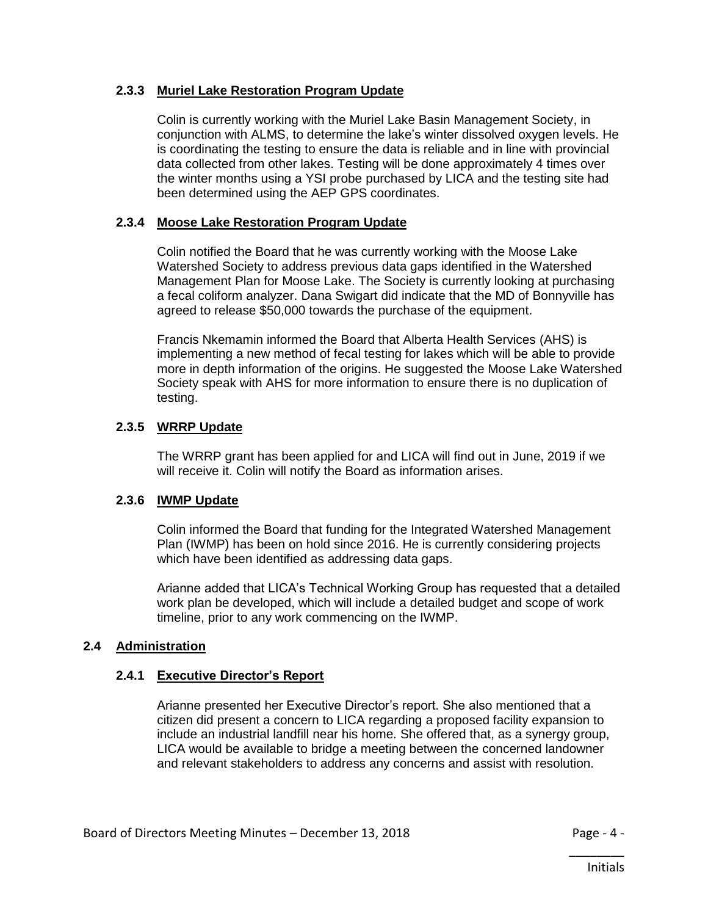# **2.3.3 Muriel Lake Restoration Program Update**

Colin is currently working with the Muriel Lake Basin Management Society, in conjunction with ALMS, to determine the lake's winter dissolved oxygen levels. He is coordinating the testing to ensure the data is reliable and in line with provincial data collected from other lakes. Testing will be done approximately 4 times over the winter months using a YSI probe purchased by LICA and the testing site had been determined using the AEP GPS coordinates.

# **2.3.4 Moose Lake Restoration Program Update**

Colin notified the Board that he was currently working with the Moose Lake Watershed Society to address previous data gaps identified in the Watershed Management Plan for Moose Lake. The Society is currently looking at purchasing a fecal coliform analyzer. Dana Swigart did indicate that the MD of Bonnyville has agreed to release \$50,000 towards the purchase of the equipment.

Francis Nkemamin informed the Board that Alberta Health Services (AHS) is implementing a new method of fecal testing for lakes which will be able to provide more in depth information of the origins. He suggested the Moose Lake Watershed Society speak with AHS for more information to ensure there is no duplication of testing.

# **2.3.5 WRRP Update**

The WRRP grant has been applied for and LICA will find out in June, 2019 if we will receive it. Colin will notify the Board as information arises.

# **2.3.6 IWMP Update**

Colin informed the Board that funding for the Integrated Watershed Management Plan (IWMP) has been on hold since 2016. He is currently considering projects which have been identified as addressing data gaps.

Arianne added that LICA's Technical Working Group has requested that a detailed work plan be developed, which will include a detailed budget and scope of work timeline, prior to any work commencing on the IWMP.

# **2.4 Administration**

# **2.4.1 Executive Director's Report**

Arianne presented her Executive Director's report. She also mentioned that a citizen did present a concern to LICA regarding a proposed facility expansion to include an industrial landfill near his home. She offered that, as a synergy group, LICA would be available to bridge a meeting between the concerned landowner and relevant stakeholders to address any concerns and assist with resolution.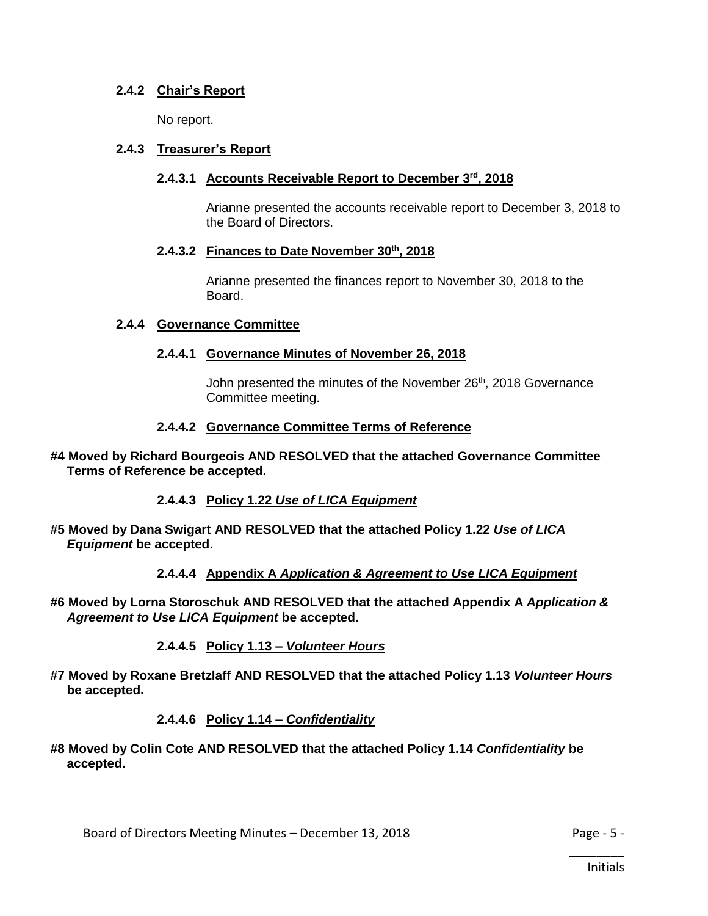# **2.4.2 Chair's Report**

No report.

# **2.4.3 Treasurer's Report**

# **2.4.3.1 Accounts Receivable Report to December 3rd, 2018**

Arianne presented the accounts receivable report to December 3, 2018 to the Board of Directors.

# **2.4.3.2 Finances to Date November 30th, 2018**

Arianne presented the finances report to November 30, 2018 to the Board.

#### **2.4.4 Governance Committee**

# **2.4.4.1 Governance Minutes of November 26, 2018**

John presented the minutes of the November 26<sup>th</sup>, 2018 Governance Committee meeting.

#### **2.4.4.2 Governance Committee Terms of Reference**

**#4 Moved by Richard Bourgeois AND RESOLVED that the attached Governance Committee Terms of Reference be accepted.**

**2.4.4.3 Policy 1.22** *Use of LICA Equipment*

**#5 Moved by Dana Swigart AND RESOLVED that the attached Policy 1.22** *Use of LICA Equipment* **be accepted.**

**2.4.4.4 Appendix A** *Application & Agreement to Use LICA Equipment*

**#6 Moved by Lorna Storoschuk AND RESOLVED that the attached Appendix A** *Application & Agreement to Use LICA Equipment* **be accepted.** 

**2.4.4.5 Policy 1.13 –** *Volunteer Hours*

**#7 Moved by Roxane Bretzlaff AND RESOLVED that the attached Policy 1.13** *Volunteer Hours*  **be accepted.**

# **2.4.4.6 Policy 1.14 –** *Confidentiality*

**#8 Moved by Colin Cote AND RESOLVED that the attached Policy 1.14** *Confidentiality* **be accepted.**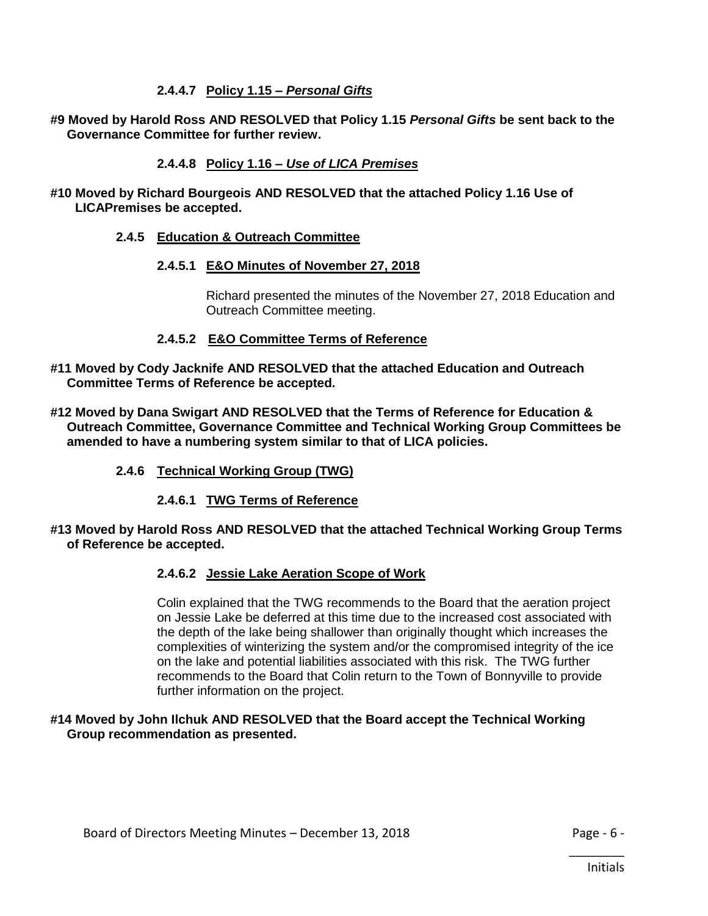# **2.4.4.7 Policy 1.15 –** *Personal Gifts*

**#9 Moved by Harold Ross AND RESOLVED that Policy 1.15** *Personal Gifts* **be sent back to the Governance Committee for further review.** 

# **2.4.4.8 Policy 1.16 –** *Use of LICA Premises*

**#10 Moved by Richard Bourgeois AND RESOLVED that the attached Policy 1.16 Use of LICAPremises be accepted.**

# **2.4.5 Education & Outreach Committee**

#### **2.4.5.1 E&O Minutes of November 27, 2018**

Richard presented the minutes of the November 27, 2018 Education and Outreach Committee meeting.

#### **2.4.5.2 E&O Committee Terms of Reference**

- **#11 Moved by Cody Jacknife AND RESOLVED that the attached Education and Outreach Committee Terms of Reference be accepted.**
- **#12 Moved by Dana Swigart AND RESOLVED that the Terms of Reference for Education & Outreach Committee, Governance Committee and Technical Working Group Committees be amended to have a numbering system similar to that of LICA policies.**
	- **2.4.6 Technical Working Group (TWG)**
		- **2.4.6.1 TWG Terms of Reference**

#### **#13 Moved by Harold Ross AND RESOLVED that the attached Technical Working Group Terms of Reference be accepted.**

# **2.4.6.2 Jessie Lake Aeration Scope of Work**

Colin explained that the TWG recommends to the Board that the aeration project on Jessie Lake be deferred at this time due to the increased cost associated with the depth of the lake being shallower than originally thought which increases the complexities of winterizing the system and/or the compromised integrity of the ice on the lake and potential liabilities associated with this risk. The TWG further recommends to the Board that Colin return to the Town of Bonnyville to provide further information on the project.

#### **#14 Moved by John Ilchuk AND RESOLVED that the Board accept the Technical Working Group recommendation as presented.**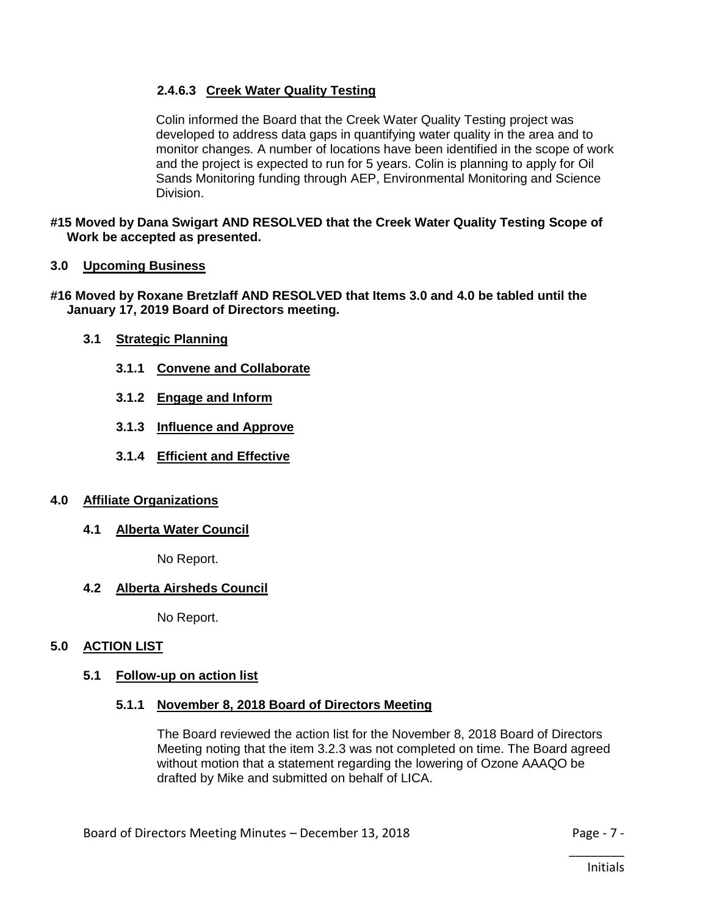# **2.4.6.3 Creek Water Quality Testing**

Colin informed the Board that the Creek Water Quality Testing project was developed to address data gaps in quantifying water quality in the area and to monitor changes. A number of locations have been identified in the scope of work and the project is expected to run for 5 years. Colin is planning to apply for Oil Sands Monitoring funding through AEP, Environmental Monitoring and Science Division.

**#15 Moved by Dana Swigart AND RESOLVED that the Creek Water Quality Testing Scope of Work be accepted as presented.**

#### **3.0 Upcoming Business**

#### **#16 Moved by Roxane Bretzlaff AND RESOLVED that Items 3.0 and 4.0 be tabled until the January 17, 2019 Board of Directors meeting.**

- **3.1 Strategic Planning**
	- **3.1.1 Convene and Collaborate**
	- **3.1.2 Engage and Inform**
	- **3.1.3 Influence and Approve**
	- **3.1.4 Efficient and Effective**

#### **4.0 Affiliate Organizations**

**4.1 Alberta Water Council**

No Report.

# **4.2 Alberta Airsheds Council**

No Report.

# **5.0 ACTION LIST**

#### **5.1 Follow-up on action list**

#### **5.1.1 November 8, 2018 Board of Directors Meeting**

The Board reviewed the action list for the November 8, 2018 Board of Directors Meeting noting that the item 3.2.3 was not completed on time. The Board agreed without motion that a statement regarding the lowering of Ozone AAAQO be drafted by Mike and submitted on behalf of LICA.

\_\_\_\_\_\_\_\_